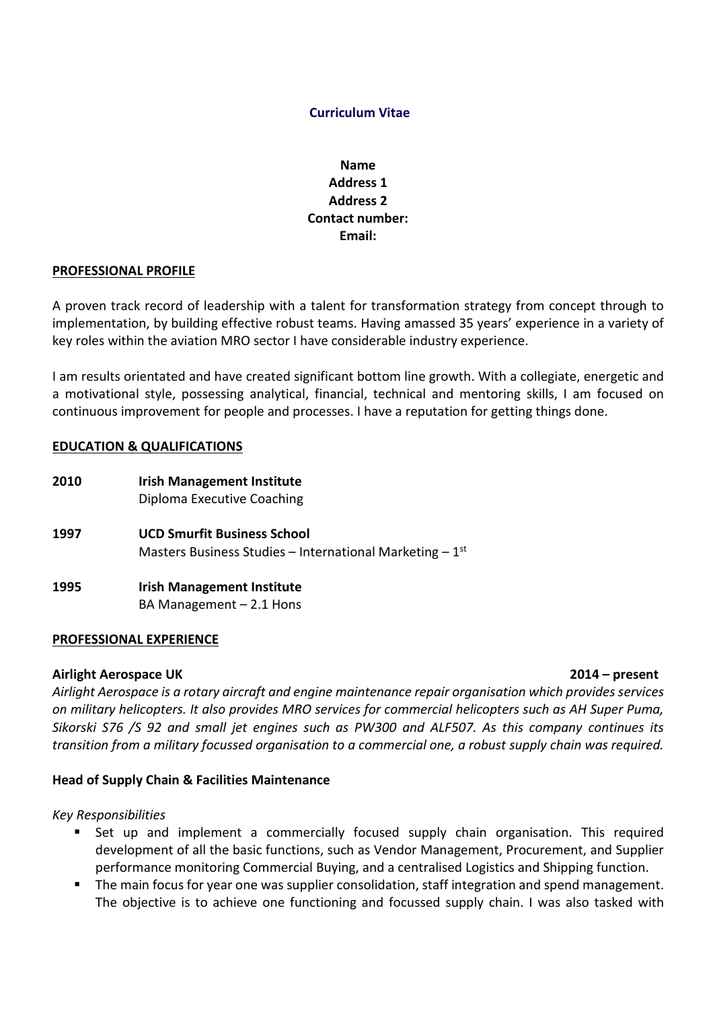# **Curriculum Vitae**

# **Name Address 1 Address 2 Contact number: Email:**

#### **PROFESSIONAL PROFILE**

A proven track record of leadership with a talent for transformation strategy from concept through to implementation, by building effective robust teams. Having amassed 35 years' experience in a variety of key roles within the aviation MRO sector I have considerable industry experience.

I am results orientated and have created significant bottom line growth. With a collegiate, energetic and a motivational style, possessing analytical, financial, technical and mentoring skills, I am focused on continuous improvement for people and processes. I have a reputation for getting things done.

### **EDUCATION & QUALIFICATIONS**

**2010 Irish Management Institute** Diploma Executive Coaching **1997 UCD Smurfit Business School** Masters Business Studies – International Marketing –  $1<sup>st</sup>$ **1995 Irish Management Institute** 

BA Management  $-2.1$  Hons

#### **PROFESSIONAL EXPERIENCE**

#### **Airlight Aerospace UK 2014 – present**

*Airlight Aerospace is a rotary aircraft and engine maintenance repair organisation which provides services on military helicopters. It also provides MRO services for commercial helicopters such as AH Super Puma, Sikorski S76 /S 92 and small jet engines such as PW300 and ALF507. As this company continues its transition from a military focussed organisation to a commercial one, a robust supply chain was required.*

### **Head of Supply Chain & Facilities Maintenance**

*Key Responsibilities*

- Set up and implement a commercially focused supply chain organisation. This required development of all the basic functions, such as Vendor Management, Procurement, and Supplier performance monitoring Commercial Buying, and a centralised Logistics and Shipping function.
- The main focus for year one was supplier consolidation, staff integration and spend management. The objective is to achieve one functioning and focussed supply chain. I was also tasked with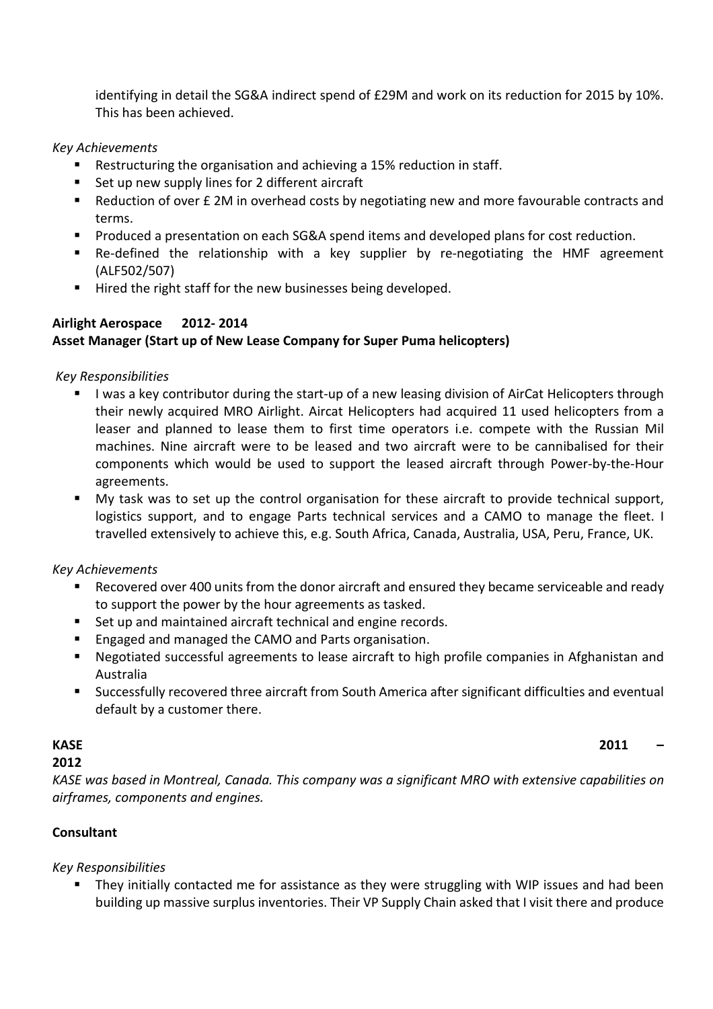identifying in detail the SG&A indirect spend of £29M and work on its reduction for 2015 by 10%. This has been achieved.

## *Key Achievements*

- Restructuring the organisation and achieving a 15% reduction in staff.
- Set up new supply lines for 2 different aircraft
- Reduction of over £ 2M in overhead costs by negotiating new and more favourable contracts and terms.
- Produced a presentation on each SG&A spend items and developed plans for cost reduction.
- Re-defined the relationship with a key supplier by re-negotiating the HMF agreement (ALF502/507)
- Hired the right staff for the new businesses being developed.

# **Airlight Aerospace 2012- 2014**

# **Asset Manager (Start up of New Lease Company for Super Puma helicopters)**

# *Key Responsibilities*

- I was a key contributor during the start-up of a new leasing division of AirCat Helicopters through their newly acquired MRO Airlight. Aircat Helicopters had acquired 11 used helicopters from a leaser and planned to lease them to first time operators i.e. compete with the Russian Mil machines. Nine aircraft were to be leased and two aircraft were to be cannibalised for their components which would be used to support the leased aircraft through Power-by-the-Hour agreements.
- My task was to set up the control organisation for these aircraft to provide technical support, logistics support, and to engage Parts technical services and a CAMO to manage the fleet. I travelled extensively to achieve this, e.g. South Africa, Canada, Australia, USA, Peru, France, UK.

# *Key Achievements*

- Recovered over 400 units from the donor aircraft and ensured they became serviceable and ready to support the power by the hour agreements as tasked.
- Set up and maintained aircraft technical and engine records.
- Engaged and managed the CAMO and Parts organisation.
- Negotiated successful agreements to lease aircraft to high profile companies in Afghanistan and Australia
- Successfully recovered three aircraft from South America after significant difficulties and eventual default by a customer there.

# **2012**

*KASE was based in Montreal, Canada. This company was a significant MRO with extensive capabilities on airframes, components and engines.*

# **Consultant**

# *Key Responsibilities*

 They initially contacted me for assistance as they were struggling with WIP issues and had been building up massive surplus inventories. Their VP Supply Chain asked that I visit there and produce

**KASE 2011 –**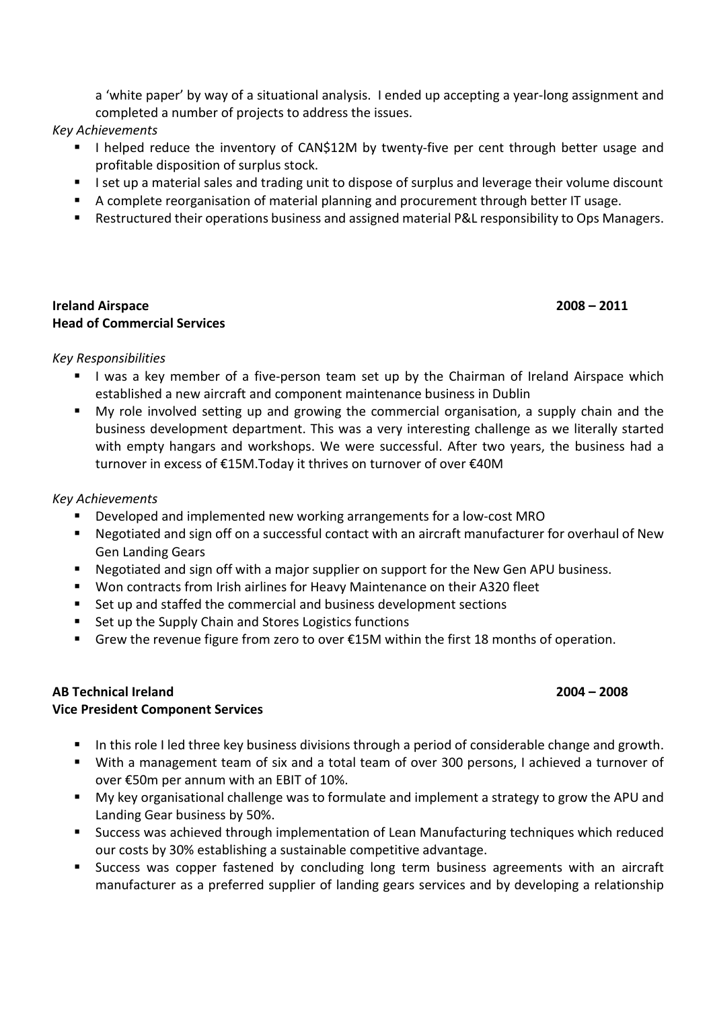a 'white paper' by way of a situational analysis. I ended up accepting a year-long assignment and completed a number of projects to address the issues.

- *Key Achievements*
	- I helped reduce the inventory of CAN\$12M by twenty-five per cent through better usage and profitable disposition of surplus stock.
	- I I set up a material sales and trading unit to dispose of surplus and leverage their volume discount
	- A complete reorganisation of material planning and procurement through better IT usage.
	- Restructured their operations business and assigned material P&L responsibility to Ops Managers.

### **Ireland Airspace 2008 – 2011 Head of Commercial Services**

## *Key Responsibilities*

- I was a key member of a five-person team set up by the Chairman of Ireland Airspace which established a new aircraft and component maintenance business in Dublin
- My role involved setting up and growing the commercial organisation, a supply chain and the business development department. This was a very interesting challenge as we literally started with empty hangars and workshops. We were successful. After two years, the business had a turnover in excess of €15M.Today it thrives on turnover of over €40M

## *Key Achievements*

- Developed and implemented new working arrangements for a low-cost MRO
- Negotiated and sign off on a successful contact with an aircraft manufacturer for overhaul of New Gen Landing Gears
- Negotiated and sign off with a major supplier on support for the New Gen APU business.
- Won contracts from Irish airlines for Heavy Maintenance on their A320 fleet
- Set up and staffed the commercial and business development sections
- Set up the Supply Chain and Stores Logistics functions
- Grew the revenue figure from zero to over €15M within the first 18 months of operation.

# **AB Technical Ireland 2004 – 2008**

# **Vice President Component Services**

- In this role I led three key business divisions through a period of considerable change and growth.
- With a management team of six and a total team of over 300 persons, I achieved a turnover of over €50m per annum with an EBIT of 10%.
- My key organisational challenge was to formulate and implement a strategy to grow the APU and Landing Gear business by 50%.
- Success was achieved through implementation of Lean Manufacturing techniques which reduced our costs by 30% establishing a sustainable competitive advantage.
- Success was copper fastened by concluding long term business agreements with an aircraft manufacturer as a preferred supplier of landing gears services and by developing a relationship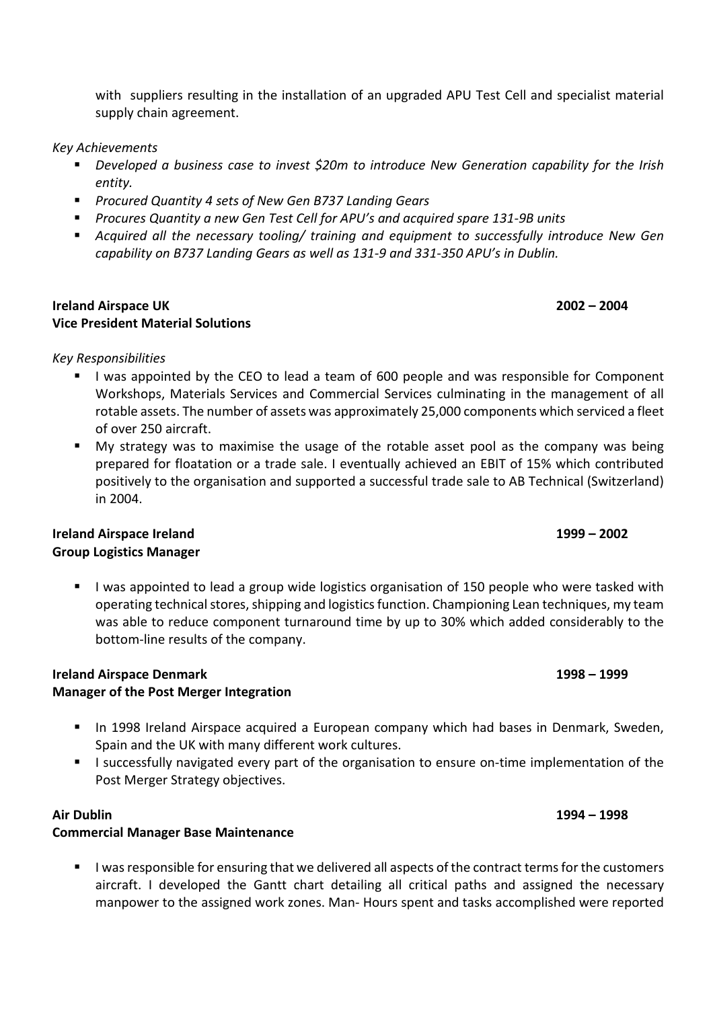with suppliers resulting in the installation of an upgraded APU Test Cell and specialist material supply chain agreement.

*Key Achievements* 

- *Developed a business case to invest \$20m to introduce New Generation capability for the Irish entity.*
- *Procured Quantity 4 sets of New Gen B737 Landing Gears*
- *Procures Quantity a new Gen Test Cell for APU's and acquired spare 131-9B units*
- **Acquired all the necessary tooling/ training and equipment to successfully introduce New Gen** *capability on B737 Landing Gears as well as 131-9 and 331-350 APU's in Dublin.*

#### **Ireland Airspace UK 2002 – 2004 Vice President Material Solutions**

### *Key Responsibilities*

- I was appointed by the CEO to lead a team of 600 people and was responsible for Component Workshops, Materials Services and Commercial Services culminating in the management of all rotable assets. The number of assets was approximately 25,000 components which serviced a fleet of over 250 aircraft.
- My strategy was to maximise the usage of the rotable asset pool as the company was being prepared for floatation or a trade sale. I eventually achieved an EBIT of 15% which contributed positively to the organisation and supported a successful trade sale to AB Technical (Switzerland) in 2004.

## **Ireland Airspace Ireland 1999 – 2002 Group Logistics Manager**

**I** was appointed to lead a group wide logistics organisation of 150 people who were tasked with operating technical stores, shipping and logistics function. Championing Lean techniques, my team was able to reduce component turnaround time by up to 30% which added considerably to the bottom-line results of the company.

## **Ireland Airspace Denmark 1998 – 1999 Manager of the Post Merger Integration**

- **IF** In 1998 Ireland Airspace acquired a European company which had bases in Denmark, Sweden, Spain and the UK with many different work cultures.
- I successfully navigated every part of the organisation to ensure on-time implementation of the Post Merger Strategy objectives.

### **Air Dublin 1994 – 1998**

### **Commercial Manager Base Maintenance**

I was responsible for ensuring that we delivered all aspects of the contract terms for the customers aircraft. I developed the Gantt chart detailing all critical paths and assigned the necessary manpower to the assigned work zones. Man- Hours spent and tasks accomplished were reported